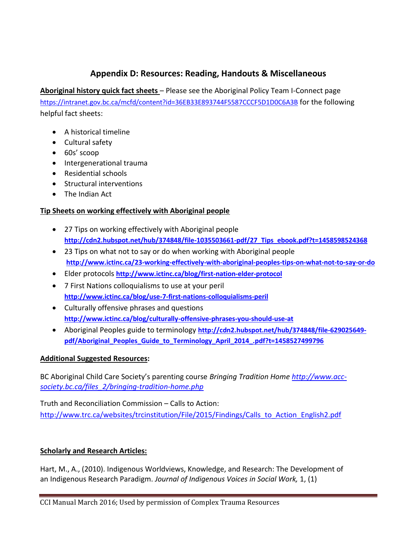# **Appendix D: Resources: Reading, Handouts & Miscellaneous**

**Aboriginal history quick fact sheets** – Please see the Aboriginal Policy Team I-Connect page <https://intranet.gov.bc.ca/mcfd/content?id=36EB33E893744F5587CCCF5D1D0C6A3B> for the following helpful fact sheets:

- A historical timeline
- Cultural safety
- 60s' scoop
- Intergenerational trauma
- Residential schools
- **•** Structural interventions
- The Indian Act

### **Tip Sheets on working effectively with Aboriginal people**

- 27 Tips on working effectively with Aboriginal people **[http://cdn2.hubspot.net/hub/374848/file-1035503661-pdf/27\\_Tips\\_ebook.pdf?t=1458598524368](http://cdn2.hubspot.net/hub/374848/file-1035503661-pdf/27_Tips_ebook.pdf?t=1458598524368)**
- 23 Tips on what not to say or do when working with Aboriginal people **<http://www.ictinc.ca/23-working-effectively-with-aboriginal-peoples-tips-on-what-not-to-say-or-do>**
- Elder protocols **<http://www.ictinc.ca/blog/first-nation-elder-protocol>**
- 7 First Nations colloquialisms to use at your peril **<http://www.ictinc.ca/blog/use-7-first-nations-colloquialisms-peril>**
- Culturally offensive phrases and questions **<http://www.ictinc.ca/blog/culturally-offensive-phrases-you-should-use-at>**
- Aboriginal Peoples guide to terminology **[http://cdn2.hubspot.net/hub/374848/file-629025649](http://cdn2.hubspot.net/hub/374848/file-629025649-pdf/Aboriginal_Peoples_Guide_to_Terminology_April_2014_.pdf?t=1458527499796) [pdf/Aboriginal\\_Peoples\\_Guide\\_to\\_Terminology\\_April\\_2014\\_.pdf?t=1458527499796](http://cdn2.hubspot.net/hub/374848/file-629025649-pdf/Aboriginal_Peoples_Guide_to_Terminology_April_2014_.pdf?t=1458527499796)**

#### **Additional Suggested Resources:**

BC Aboriginal Child Care Society's parenting course *Bringing Tradition Home [http://www.acc](http://www.acc-society.bc.ca/files_2/bringing-tradition-home.php)[society.bc.ca/files\\_2/bringing-tradition-home.php](http://www.acc-society.bc.ca/files_2/bringing-tradition-home.php)*

Truth and Reconciliation Commission – Calls to Action: [http://www.trc.ca/websites/trcinstitution/File/2015/Findings/Calls\\_to\\_Action\\_English2.pdf](http://www.trc.ca/websites/trcinstitution/File/2015/Findings/Calls_to_Action_English2.pdf)

## **Scholarly and Research Articles:**

Hart, M., A., (2010). Indigenous Worldviews, Knowledge, and Research: The Development of an Indigenous Research Paradigm. *Journal of Indigenous Voices in Social Work,* 1, (1)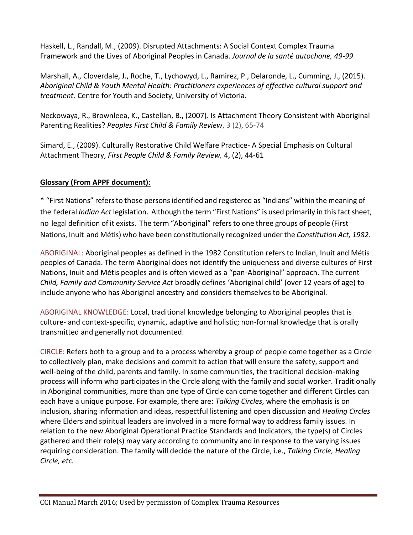Haskell, L., Randall, M., (2009). Disrupted Attachments: A Social Context Complex Trauma Framework and the Lives of Aboriginal Peoples in Canada. *Journal de la santé autochone, 49-99* 

Marshall, A., Cloverdale, J., Roche, T., Lychowyd, L., Ramirez, P., Delaronde, L., Cumming, J., (2015). *Aboriginal Child & Youth Mental Health: Practitioners experiences of effective cultural support and treatment.* Centre for Youth and Society, University of Victoria.

Neckowaya, R., Brownleea, K., Castellan, B., (2007). Is Attachment Theory Consistent with Aboriginal Parenting Realities? Peoples First Child & Family Review, 3 (2), 65-74

Simard, E., (2009). Culturally Restorative Child Welfare Practice- A Special Emphasis on Cultural Attachment Theory, *First People Child & Family Review,* 4, (2), 44-61

#### **Glossary (From APPF document):**

\* "First Nations" refersto those personsidentified and registered as "Indians" within the meaning of the federal *Indian Act* legislation. Although the term "First Nations" is used primarily in this fact sheet, no legal definition of it exists. The term "Aboriginal" refersto one three groups of people (First Nations, Inuit and Métis) who have been constitutionally recognized under the *Constitution Act, 1982.*

ABORIGINAL: Aboriginal peoples as defined in the 1982 Constitution refers to Indian, Inuit and Métis peoples of Canada. The term Aboriginal does not identify the uniqueness and diverse cultures of First Nations, Inuit and Métis peoples and is often viewed as a "pan-Aboriginal" approach. The current *Child, Family and Community Service Act* broadly defines 'Aboriginal child' (over 12 years of age) to include anyone who has Aboriginal ancestry and considers themselves to be Aboriginal.

ABORIGINAL KNOWLEDGE: Local, traditional knowledge belonging to Aboriginal peoples that is culture- and context-specific, dynamic, adaptive and holistic; non-formal knowledge that is orally transmitted and generally not documented.

CIRCLE: Refers both to a group and to a process whereby a group of people come together as a Circle to collectively plan, make decisions and commit to action that will ensure the safety, support and well-being of the child, parents and family. In some communities, the traditional decision-making process will inform who participates in the Circle along with the family and social worker. Traditionally in Aboriginal communities, more than one type of Circle can come together and different Circles can each have a unique purpose. For example, there are: *Talking Circles*, where the emphasis is on inclusion, sharing information and ideas, respectful listening and open discussion and *Healing Circles*  where Elders and spiritual leaders are involved in a more formal way to address family issues. In relation to the new Aboriginal Operational Practice Standards and Indicators, the type(s) of Circles gathered and their role(s) may vary according to community and in response to the varying issues requiring consideration. The family will decide the nature of the Circle, i.e., *Talking Circle, Healing Circle, etc.*